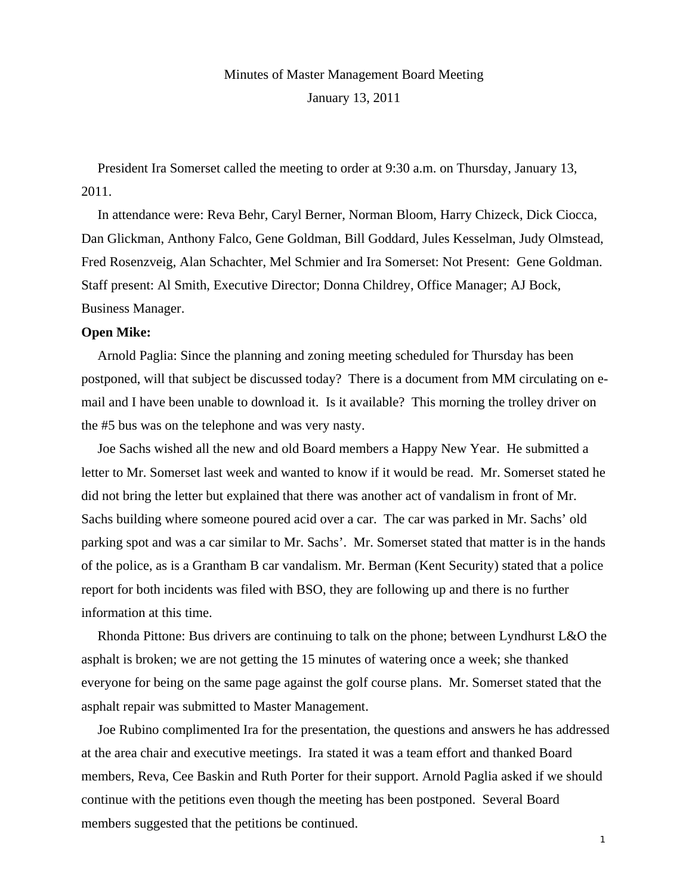Minutes of Master Management Board Meeting

January 13, 2011

President Ira Somerset called the meeting to order at 9:30 a.m. on Thursday, January 13, 2011.

In attendance were: Reva Behr, Caryl Berner, Norman Bloom, Harry Chizeck, Dick Ciocca, Dan Glickman, Anthony Falco, Gene Goldman, Bill Goddard, Jules Kesselman, Judy Olmstead, Fred Rosenzveig, Alan Schachter, Mel Schmier and Ira Somerset: Not Present: Gene Goldman. Staff present: Al Smith, Executive Director; Donna Childrey, Office Manager; AJ Bock, Business Manager.

# **Open Mike:**

Arnold Paglia: Since the planning and zoning meeting scheduled for Thursday has been postponed, will that subject be discussed today? There is a document from MM circulating on email and I have been unable to download it. Is it available? This morning the trolley driver on the #5 bus was on the telephone and was very nasty.

Joe Sachs wished all the new and old Board members a Happy New Year. He submitted a letter to Mr. Somerset last week and wanted to know if it would be read. Mr. Somerset stated he did not bring the letter but explained that there was another act of vandalism in front of Mr. Sachs building where someone poured acid over a car. The car was parked in Mr. Sachs' old parking spot and was a car similar to Mr. Sachs'. Mr. Somerset stated that matter is in the hands of the police, as is a Grantham B car vandalism. Mr. Berman (Kent Security) stated that a police report for both incidents was filed with BSO, they are following up and there is no further information at this time.

Rhonda Pittone: Bus drivers are continuing to talk on the phone; between Lyndhurst L&O the asphalt is broken; we are not getting the 15 minutes of watering once a week; she thanked everyone for being on the same page against the golf course plans. Mr. Somerset stated that the asphalt repair was submitted to Master Management.

Joe Rubino complimented Ira for the presentation, the questions and answers he has addressed at the area chair and executive meetings. Ira stated it was a team effort and thanked Board members, Reva, Cee Baskin and Ruth Porter for their support. Arnold Paglia asked if we should continue with the petitions even though the meeting has been postponed. Several Board members suggested that the petitions be continued.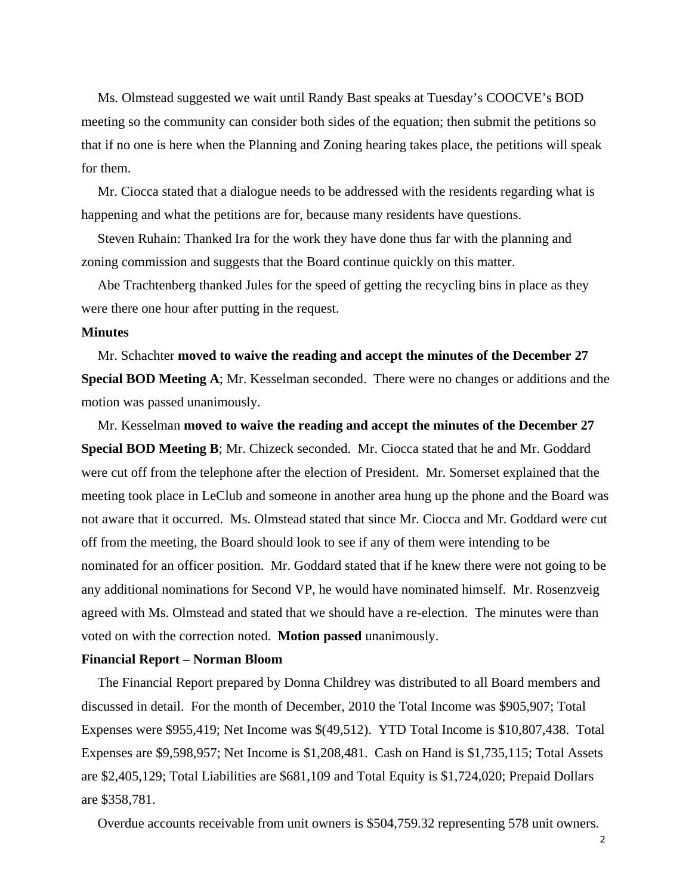Ms. Olmstead suggested we wait until Randy Bast speaks at Tuesday's COOCVE's BOD meeting so the community can consider both sides of the equation; then submit the petitions so that if no one is here when the Planning and Zoning hearing takes place, the petitions will speak for them.

Mr. Ciocca stated that a dialogue needs to be addressed with the residents regarding what is happening and what the petitions are for, because many residents have questions.

Steven Ruhain: Thanked Ira for the work they have done thus far with the planning and zoning commission and suggests that the Board continue quickly on this matter.

Abe Trachtenberg thanked Jules for the speed of getting the recycling bins in place as they were there one hour after putting in the request.

## **Minutes**

Mr. Schachter **moved to waive the reading and accept the minutes of the December 27 Special BOD Meeting A**; Mr. Kesselman seconded. There were no changes or additions and the motion was passed unanimously.

Mr. Kesselman **moved to waive the reading and accept the minutes of the December 27 Special BOD Meeting B**; Mr. Chizeck seconded. Mr. Ciocca stated that he and Mr. Goddard were cut off from the telephone after the election of President. Mr. Somerset explained that the meeting took place in LeClub and someone in another area hung up the phone and the Board was not aware that it occurred. Ms. Olmstead stated that since Mr. Ciocca and Mr. Goddard were cut off from the meeting, the Board should look to see if any of them were intending to be nominated for an officer position. Mr. Goddard stated that if he knew there were not going to be any additional nominations for Second VP, he would have nominated himself. Mr. Rosenzveig agreed with Ms. Olmstead and stated that we should have a re-election. The minutes were than voted on with the correction noted. **Motion passed** unanimously.

### **Financial Report – Norman Bloom**

The Financial Report prepared by Donna Childrey was distributed to all Board members and discussed in detail. For the month of December, 2010 the Total Income was \$905,907; Total Expenses were \$955,419; Net Income was \$(49,512). YTD Total Income is \$10,807,438. Total Expenses are \$9,598,957; Net Income is \$1,208,481. Cash on Hand is \$1,735,115; Total Assets are \$2,405,129; Total Liabilities are \$681,109 and Total Equity is \$1,724,020; Prepaid Dollars are \$358,781.

Overdue accounts receivable from unit owners is \$504,759.32 representing 578 unit owners.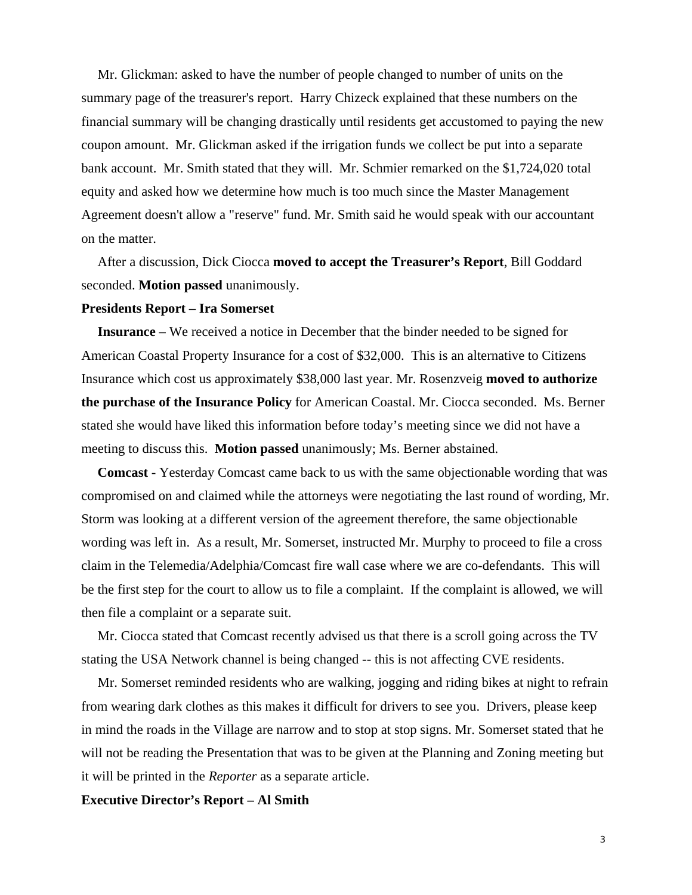Mr. Glickman: asked to have the number of people changed to number of units on the summary page of the treasurer's report. Harry Chizeck explained that these numbers on the financial summary will be changing drastically until residents get accustomed to paying the new coupon amount. Mr. Glickman asked if the irrigation funds we collect be put into a separate bank account. Mr. Smith stated that they will. Mr. Schmier remarked on the \$1,724,020 total equity and asked how we determine how much is too much since the Master Management Agreement doesn't allow a "reserve" fund. Mr. Smith said he would speak with our accountant on the matter.

After a discussion, Dick Ciocca **moved to accept the Treasurer's Report**, Bill Goddard seconded. **Motion passed** unanimously.

### **Presidents Report – Ira Somerset**

**Insurance** – We received a notice in December that the binder needed to be signed for American Coastal Property Insurance for a cost of \$32,000. This is an alternative to Citizens Insurance which cost us approximately \$38,000 last year. Mr. Rosenzveig **moved to authorize the purchase of the Insurance Policy** for American Coastal. Mr. Ciocca seconded. Ms. Berner stated she would have liked this information before today's meeting since we did not have a meeting to discuss this. **Motion passed** unanimously; Ms. Berner abstained.

**Comcast** - Yesterday Comcast came back to us with the same objectionable wording that was compromised on and claimed while the attorneys were negotiating the last round of wording, Mr. Storm was looking at a different version of the agreement therefore, the same objectionable wording was left in. As a result, Mr. Somerset, instructed Mr. Murphy to proceed to file a cross claim in the Telemedia/Adelphia/Comcast fire wall case where we are co-defendants. This will be the first step for the court to allow us to file a complaint. If the complaint is allowed, we will then file a complaint or a separate suit.

Mr. Ciocca stated that Comcast recently advised us that there is a scroll going across the TV stating the USA Network channel is being changed -- this is not affecting CVE residents.

Mr. Somerset reminded residents who are walking, jogging and riding bikes at night to refrain from wearing dark clothes as this makes it difficult for drivers to see you. Drivers, please keep in mind the roads in the Village are narrow and to stop at stop signs. Mr. Somerset stated that he will not be reading the Presentation that was to be given at the Planning and Zoning meeting but it will be printed in the *Reporter* as a separate article.

#### **Executive Director's Report – Al Smith**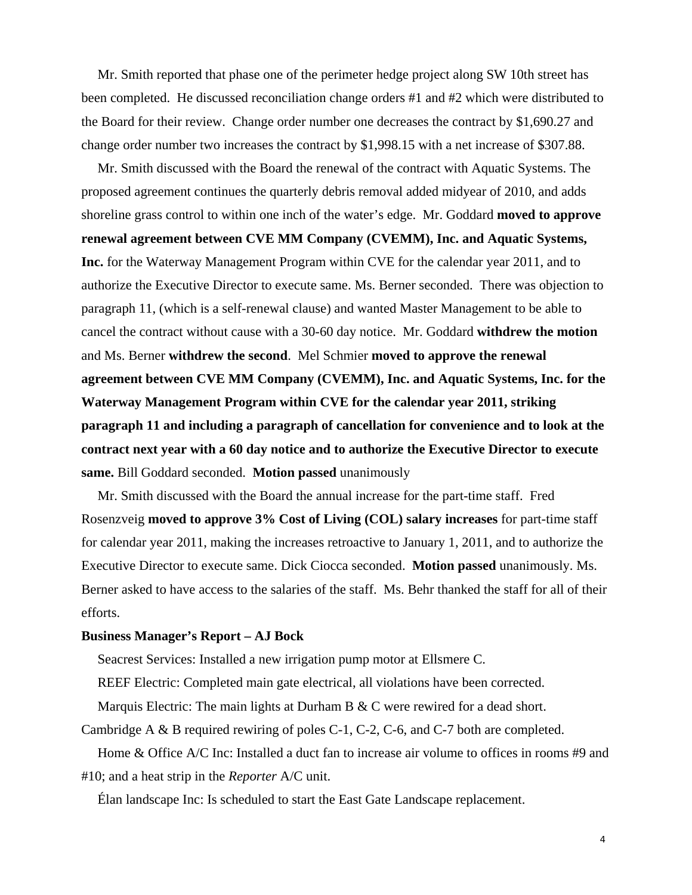Mr. Smith reported that phase one of the perimeter hedge project along SW 10th street has been completed. He discussed reconciliation change orders #1 and #2 which were distributed to the Board for their review. Change order number one decreases the contract by \$1,690.27 and change order number two increases the contract by \$1,998.15 with a net increase of \$307.88.

Mr. Smith discussed with the Board the renewal of the contract with Aquatic Systems. The proposed agreement continues the quarterly debris removal added midyear of 2010, and adds shoreline grass control to within one inch of the water's edge. Mr. Goddard **moved to approve renewal agreement between CVE MM Company (CVEMM), Inc. and Aquatic Systems, Inc.** for the Waterway Management Program within CVE for the calendar year 2011, and to authorize the Executive Director to execute same. Ms. Berner seconded. There was objection to paragraph 11, (which is a self-renewal clause) and wanted Master Management to be able to cancel the contract without cause with a 30-60 day notice. Mr. Goddard **withdrew the motion** and Ms. Berner **withdrew the second**. Mel Schmier **moved to approve the renewal agreement between CVE MM Company (CVEMM), Inc. and Aquatic Systems, Inc. for the Waterway Management Program within CVE for the calendar year 2011, striking paragraph 11 and including a paragraph of cancellation for convenience and to look at the contract next year with a 60 day notice and to authorize the Executive Director to execute same.** Bill Goddard seconded. **Motion passed** unanimously

Mr. Smith discussed with the Board the annual increase for the part-time staff. Fred Rosenzveig **moved to approve 3% Cost of Living (COL) salary increases** for part-time staff for calendar year 2011, making the increases retroactive to January 1, 2011, and to authorize the Executive Director to execute same. Dick Ciocca seconded. **Motion passed** unanimously. Ms. Berner asked to have access to the salaries of the staff. Ms. Behr thanked the staff for all of their efforts.

## **Business Manager's Report – AJ Bock**

Seacrest Services: Installed a new irrigation pump motor at Ellsmere C.

REEF Electric: Completed main gate electrical, all violations have been corrected.

Marquis Electric: The main lights at Durham B & C were rewired for a dead short.

Cambridge A & B required rewiring of poles C-1, C-2, C-6, and C-7 both are completed.

Home & Office A/C Inc: Installed a duct fan to increase air volume to offices in rooms #9 and #10; and a heat strip in the *Reporter* A/C unit.

Élan landscape Inc: Is scheduled to start the East Gate Landscape replacement.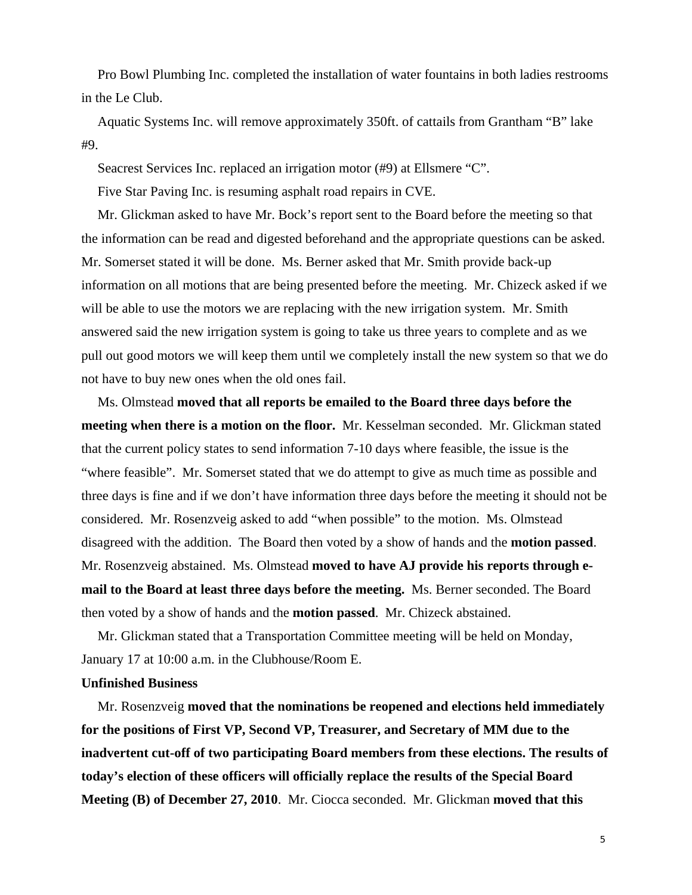Pro Bowl Plumbing Inc. completed the installation of water fountains in both ladies restrooms in the Le Club.

Aquatic Systems Inc. will remove approximately 350ft. of cattails from Grantham "B" lake #9.

Seacrest Services Inc. replaced an irrigation motor (#9) at Ellsmere "C".

Five Star Paving Inc. is resuming asphalt road repairs in CVE.

Mr. Glickman asked to have Mr. Bock's report sent to the Board before the meeting so that the information can be read and digested beforehand and the appropriate questions can be asked. Mr. Somerset stated it will be done. Ms. Berner asked that Mr. Smith provide back-up information on all motions that are being presented before the meeting. Mr. Chizeck asked if we will be able to use the motors we are replacing with the new irrigation system. Mr. Smith answered said the new irrigation system is going to take us three years to complete and as we pull out good motors we will keep them until we completely install the new system so that we do not have to buy new ones when the old ones fail.

Ms. Olmstead **moved that all reports be emailed to the Board three days before the meeting when there is a motion on the floor.** Mr. Kesselman seconded. Mr. Glickman stated that the current policy states to send information 7-10 days where feasible, the issue is the "where feasible". Mr. Somerset stated that we do attempt to give as much time as possible and three days is fine and if we don't have information three days before the meeting it should not be considered. Mr. Rosenzveig asked to add "when possible" to the motion. Ms. Olmstead disagreed with the addition. The Board then voted by a show of hands and the **motion passed**. Mr. Rosenzveig abstained. Ms. Olmstead **moved to have AJ provide his reports through email to the Board at least three days before the meeting.** Ms. Berner seconded. The Board then voted by a show of hands and the **motion passed**. Mr. Chizeck abstained.

Mr. Glickman stated that a Transportation Committee meeting will be held on Monday, January 17 at 10:00 a.m. in the Clubhouse/Room E.

## **Unfinished Business**

Mr. Rosenzveig **moved that the nominations be reopened and elections held immediately for the positions of First VP, Second VP, Treasurer, and Secretary of MM due to the inadvertent cut-off of two participating Board members from these elections. The results of today's election of these officers will officially replace the results of the Special Board Meeting (B) of December 27, 2010**. Mr. Ciocca seconded. Mr. Glickman **moved that this**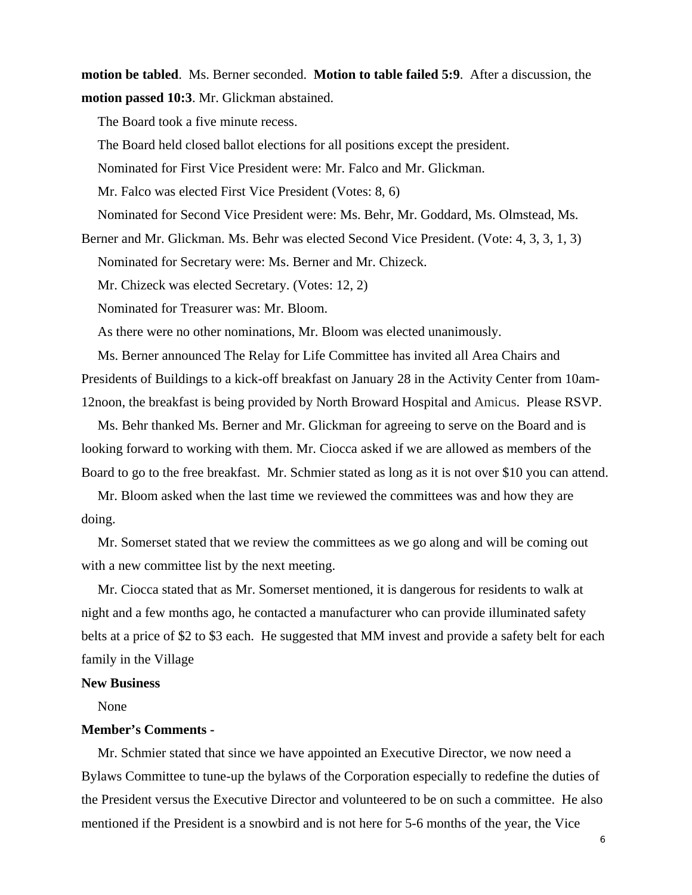**motion be tabled**. Ms. Berner seconded. **Motion to table failed 5:9**. After a discussion, the **motion passed 10:3**. Mr. Glickman abstained.

The Board took a five minute recess.

The Board held closed ballot elections for all positions except the president.

Nominated for First Vice President were: Mr. Falco and Mr. Glickman.

Mr. Falco was elected First Vice President (Votes: 8, 6)

Nominated for Second Vice President were: Ms. Behr, Mr. Goddard, Ms. Olmstead, Ms.

Berner and Mr. Glickman. Ms. Behr was elected Second Vice President. (Vote: 4, 3, 3, 1, 3)

Nominated for Secretary were: Ms. Berner and Mr. Chizeck.

Mr. Chizeck was elected Secretary. (Votes: 12, 2)

Nominated for Treasurer was: Mr. Bloom.

As there were no other nominations, Mr. Bloom was elected unanimously.

Ms. Berner announced The Relay for Life Committee has invited all Area Chairs and Presidents of Buildings to a kick-off breakfast on January 28 in the Activity Center from 10am-12noon, the breakfast is being provided by North Broward Hospital and Amicus. Please RSVP.

Ms. Behr thanked Ms. Berner and Mr. Glickman for agreeing to serve on the Board and is looking forward to working with them. Mr. Ciocca asked if we are allowed as members of the Board to go to the free breakfast. Mr. Schmier stated as long as it is not over \$10 you can attend.

Mr. Bloom asked when the last time we reviewed the committees was and how they are doing.

Mr. Somerset stated that we review the committees as we go along and will be coming out with a new committee list by the next meeting.

Mr. Ciocca stated that as Mr. Somerset mentioned, it is dangerous for residents to walk at night and a few months ago, he contacted a manufacturer who can provide illuminated safety belts at a price of \$2 to \$3 each. He suggested that MM invest and provide a safety belt for each family in the Village

#### **New Business**

None

# **Member's Comments -**

Mr. Schmier stated that since we have appointed an Executive Director, we now need a Bylaws Committee to tune-up the bylaws of the Corporation especially to redefine the duties of the President versus the Executive Director and volunteered to be on such a committee. He also mentioned if the President is a snowbird and is not here for 5-6 months of the year, the Vice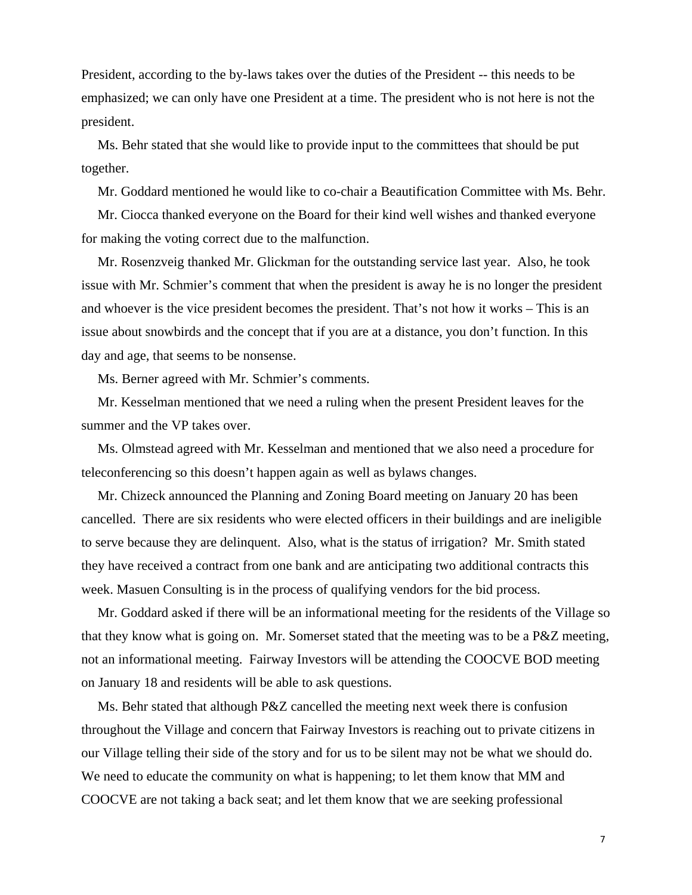President, according to the by-laws takes over the duties of the President -- this needs to be emphasized; we can only have one President at a time. The president who is not here is not the president.

Ms. Behr stated that she would like to provide input to the committees that should be put together.

Mr. Goddard mentioned he would like to co-chair a Beautification Committee with Ms. Behr.

Mr. Ciocca thanked everyone on the Board for their kind well wishes and thanked everyone for making the voting correct due to the malfunction.

Mr. Rosenzveig thanked Mr. Glickman for the outstanding service last year. Also, he took issue with Mr. Schmier's comment that when the president is away he is no longer the president and whoever is the vice president becomes the president. That's not how it works – This is an issue about snowbirds and the concept that if you are at a distance, you don't function. In this day and age, that seems to be nonsense.

Ms. Berner agreed with Mr. Schmier's comments.

Mr. Kesselman mentioned that we need a ruling when the present President leaves for the summer and the VP takes over.

Ms. Olmstead agreed with Mr. Kesselman and mentioned that we also need a procedure for teleconferencing so this doesn't happen again as well as bylaws changes.

Mr. Chizeck announced the Planning and Zoning Board meeting on January 20 has been cancelled. There are six residents who were elected officers in their buildings and are ineligible to serve because they are delinquent. Also, what is the status of irrigation? Mr. Smith stated they have received a contract from one bank and are anticipating two additional contracts this week. Masuen Consulting is in the process of qualifying vendors for the bid process.

Mr. Goddard asked if there will be an informational meeting for the residents of the Village so that they know what is going on. Mr. Somerset stated that the meeting was to be a P&Z meeting, not an informational meeting. Fairway Investors will be attending the COOCVE BOD meeting on January 18 and residents will be able to ask questions.

Ms. Behr stated that although P&Z cancelled the meeting next week there is confusion throughout the Village and concern that Fairway Investors is reaching out to private citizens in our Village telling their side of the story and for us to be silent may not be what we should do. We need to educate the community on what is happening; to let them know that MM and COOCVE are not taking a back seat; and let them know that we are seeking professional